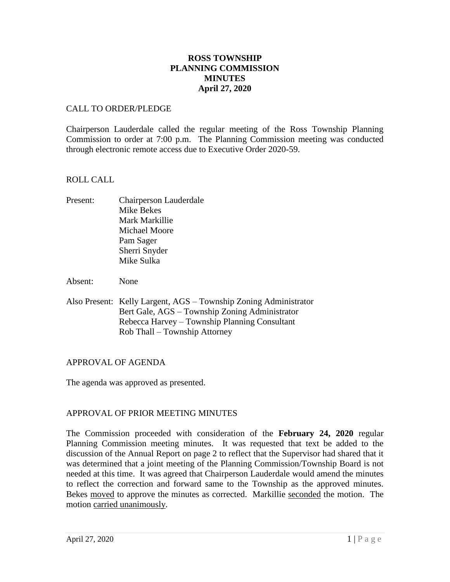# **ROSS TOWNSHIP PLANNING COMMISSION MINUTES April 27, 2020**

# CALL TO ORDER/PLEDGE

Chairperson Lauderdale called the regular meeting of the Ross Township Planning Commission to order at 7:00 p.m. The Planning Commission meeting was conducted through electronic remote access due to Executive Order 2020-59.

#### ROLL CALL

Present: Chairperson Lauderdale Mike Bekes Mark Markillie Michael Moore Pam Sager Sherri Snyder Mike Sulka

Absent: None

Also Present: Kelly Largent, AGS – Township Zoning Administrator Bert Gale, AGS – Township Zoning Administrator Rebecca Harvey – Township Planning Consultant Rob Thall – Township Attorney

# APPROVAL OF AGENDA

The agenda was approved as presented.

# APPROVAL OF PRIOR MEETING MINUTES

The Commission proceeded with consideration of the **February 24, 2020** regular Planning Commission meeting minutes. It was requested that text be added to the discussion of the Annual Report on page 2 to reflect that the Supervisor had shared that it was determined that a joint meeting of the Planning Commission/Township Board is not needed at this time. It was agreed that Chairperson Lauderdale would amend the minutes to reflect the correction and forward same to the Township as the approved minutes. Bekes moved to approve the minutes as corrected. Markillie seconded the motion. The motion carried unanimously.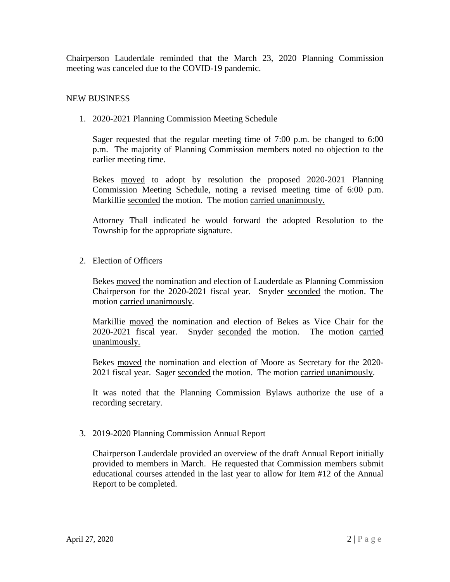Chairperson Lauderdale reminded that the March 23, 2020 Planning Commission meeting was canceled due to the COVID-19 pandemic.

#### NEW BUSINESS

1. 2020-2021 Planning Commission Meeting Schedule

Sager requested that the regular meeting time of 7:00 p.m. be changed to 6:00 p.m. The majority of Planning Commission members noted no objection to the earlier meeting time.

Bekes moved to adopt by resolution the proposed 2020-2021 Planning Commission Meeting Schedule, noting a revised meeting time of 6:00 p.m. Markillie seconded the motion. The motion carried unanimously.

Attorney Thall indicated he would forward the adopted Resolution to the Township for the appropriate signature.

2. Election of Officers

Bekes moved the nomination and election of Lauderdale as Planning Commission Chairperson for the 2020-2021 fiscal year. Snyder seconded the motion. The motion carried unanimously.

Markillie moved the nomination and election of Bekes as Vice Chair for the 2020-2021 fiscal year. Snyder seconded the motion. The motion carried unanimously.

Bekes moved the nomination and election of Moore as Secretary for the 2020- 2021 fiscal year. Sager seconded the motion. The motion carried unanimously.

It was noted that the Planning Commission Bylaws authorize the use of a recording secretary.

3. 2019-2020 Planning Commission Annual Report

Chairperson Lauderdale provided an overview of the draft Annual Report initially provided to members in March. He requested that Commission members submit educational courses attended in the last year to allow for Item #12 of the Annual Report to be completed.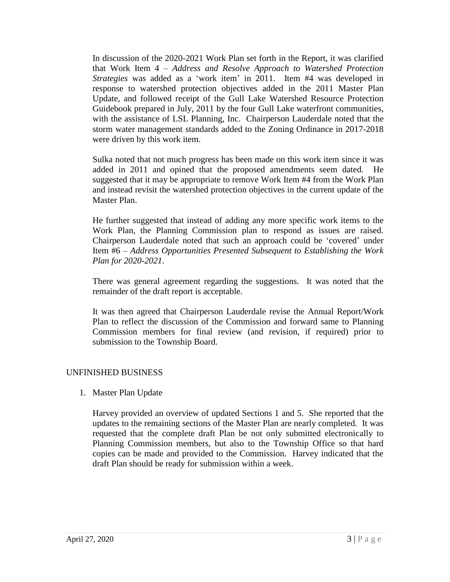In discussion of the 2020-2021 Work Plan set forth in the Report, it was clarified that Work Item 4 – *Address and Resolve Approach to Watershed Protection Strategies* was added as a 'work item' in 2011. Item #4 was developed in response to watershed protection objectives added in the 2011 Master Plan Update, and followed receipt of the Gull Lake Watershed Resource Protection Guidebook prepared in July, 2011 by the four Gull Lake waterfront communities, with the assistance of LSL Planning, Inc. Chairperson Lauderdale noted that the storm water management standards added to the Zoning Ordinance in 2017-2018 were driven by this work item.

Sulka noted that not much progress has been made on this work item since it was added in 2011 and opined that the proposed amendments seem dated. He suggested that it may be appropriate to remove Work Item #4 from the Work Plan and instead revisit the watershed protection objectives in the current update of the Master Plan.

He further suggested that instead of adding any more specific work items to the Work Plan, the Planning Commission plan to respond as issues are raised. Chairperson Lauderdale noted that such an approach could be 'covered' under Item #6 – *Address Opportunities Presented Subsequent to Establishing the Work Plan for 2020-2021*.

There was general agreement regarding the suggestions. It was noted that the remainder of the draft report is acceptable.

It was then agreed that Chairperson Lauderdale revise the Annual Report/Work Plan to reflect the discussion of the Commission and forward same to Planning Commission members for final review (and revision, if required) prior to submission to the Township Board.

# UNFINISHED BUSINESS

1. Master Plan Update

Harvey provided an overview of updated Sections 1 and 5. She reported that the updates to the remaining sections of the Master Plan are nearly completed. It was requested that the complete draft Plan be not only submitted electronically to Planning Commission members, but also to the Township Office so that hard copies can be made and provided to the Commission. Harvey indicated that the draft Plan should be ready for submission within a week.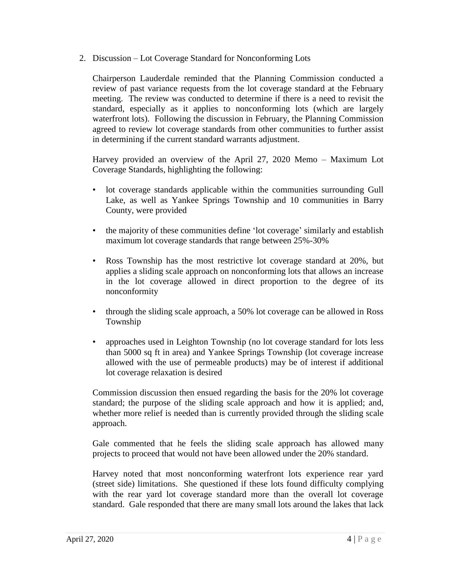2. Discussion – Lot Coverage Standard for Nonconforming Lots

Chairperson Lauderdale reminded that the Planning Commission conducted a review of past variance requests from the lot coverage standard at the February meeting. The review was conducted to determine if there is a need to revisit the standard, especially as it applies to nonconforming lots (which are largely waterfront lots). Following the discussion in February, the Planning Commission agreed to review lot coverage standards from other communities to further assist in determining if the current standard warrants adjustment.

Harvey provided an overview of the April 27, 2020 Memo – Maximum Lot Coverage Standards, highlighting the following:

- lot coverage standards applicable within the communities surrounding Gull Lake, as well as Yankee Springs Township and 10 communities in Barry County, were provided
- the majority of these communities define 'lot coverage' similarly and establish maximum lot coverage standards that range between 25%-30%
- Ross Township has the most restrictive lot coverage standard at 20%, but applies a sliding scale approach on nonconforming lots that allows an increase in the lot coverage allowed in direct proportion to the degree of its nonconformity
- through the sliding scale approach, a 50% lot coverage can be allowed in Ross Township
- approaches used in Leighton Township (no lot coverage standard for lots less than 5000 sq ft in area) and Yankee Springs Township (lot coverage increase allowed with the use of permeable products) may be of interest if additional lot coverage relaxation is desired

Commission discussion then ensued regarding the basis for the 20% lot coverage standard; the purpose of the sliding scale approach and how it is applied; and, whether more relief is needed than is currently provided through the sliding scale approach.

Gale commented that he feels the sliding scale approach has allowed many projects to proceed that would not have been allowed under the 20% standard.

Harvey noted that most nonconforming waterfront lots experience rear yard (street side) limitations. She questioned if these lots found difficulty complying with the rear vard lot coverage standard more than the overall lot coverage standard. Gale responded that there are many small lots around the lakes that lack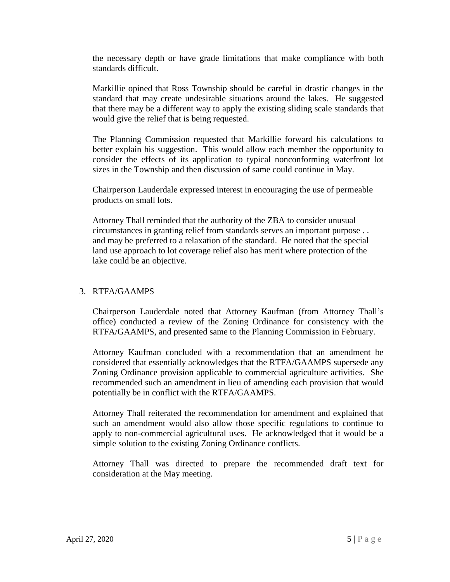the necessary depth or have grade limitations that make compliance with both standards difficult.

Markillie opined that Ross Township should be careful in drastic changes in the standard that may create undesirable situations around the lakes. He suggested that there may be a different way to apply the existing sliding scale standards that would give the relief that is being requested.

The Planning Commission requested that Markillie forward his calculations to better explain his suggestion. This would allow each member the opportunity to consider the effects of its application to typical nonconforming waterfront lot sizes in the Township and then discussion of same could continue in May.

Chairperson Lauderdale expressed interest in encouraging the use of permeable products on small lots.

Attorney Thall reminded that the authority of the ZBA to consider unusual circumstances in granting relief from standards serves an important purpose . . and may be preferred to a relaxation of the standard. He noted that the special land use approach to lot coverage relief also has merit where protection of the lake could be an objective.

# 3. RTFA/GAAMPS

Chairperson Lauderdale noted that Attorney Kaufman (from Attorney Thall's office) conducted a review of the Zoning Ordinance for consistency with the RTFA/GAAMPS, and presented same to the Planning Commission in February.

Attorney Kaufman concluded with a recommendation that an amendment be considered that essentially acknowledges that the RTFA/GAAMPS supersede any Zoning Ordinance provision applicable to commercial agriculture activities. She recommended such an amendment in lieu of amending each provision that would potentially be in conflict with the RTFA/GAAMPS.

Attorney Thall reiterated the recommendation for amendment and explained that such an amendment would also allow those specific regulations to continue to apply to non-commercial agricultural uses. He acknowledged that it would be a simple solution to the existing Zoning Ordinance conflicts.

Attorney Thall was directed to prepare the recommended draft text for consideration at the May meeting.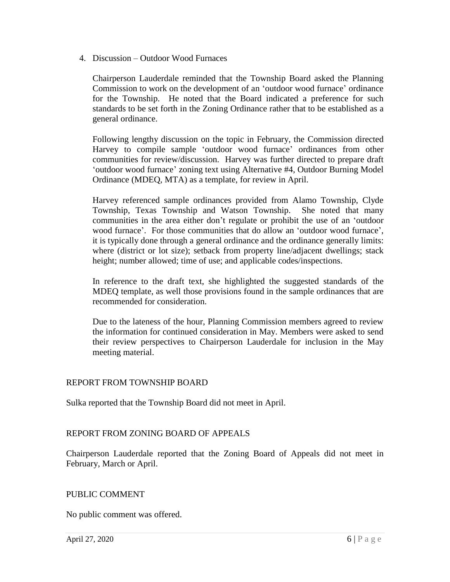4. Discussion – Outdoor Wood Furnaces

Chairperson Lauderdale reminded that the Township Board asked the Planning Commission to work on the development of an 'outdoor wood furnace' ordinance for the Township. He noted that the Board indicated a preference for such standards to be set forth in the Zoning Ordinance rather that to be established as a general ordinance.

Following lengthy discussion on the topic in February, the Commission directed Harvey to compile sample 'outdoor wood furnace' ordinances from other communities for review/discussion. Harvey was further directed to prepare draft 'outdoor wood furnace' zoning text using Alternative #4, Outdoor Burning Model Ordinance (MDEQ, MTA) as a template, for review in April.

Harvey referenced sample ordinances provided from Alamo Township, Clyde Township, Texas Township and Watson Township. She noted that many communities in the area either don't regulate or prohibit the use of an 'outdoor wood furnace'. For those communities that do allow an 'outdoor wood furnace', it is typically done through a general ordinance and the ordinance generally limits: where (district or lot size); setback from property line/adjacent dwellings; stack height; number allowed; time of use; and applicable codes/inspections.

In reference to the draft text, she highlighted the suggested standards of the MDEQ template, as well those provisions found in the sample ordinances that are recommended for consideration.

Due to the lateness of the hour, Planning Commission members agreed to review the information for continued consideration in May. Members were asked to send their review perspectives to Chairperson Lauderdale for inclusion in the May meeting material.

# REPORT FROM TOWNSHIP BOARD

Sulka reported that the Township Board did not meet in April.

# REPORT FROM ZONING BOARD OF APPEALS

Chairperson Lauderdale reported that the Zoning Board of Appeals did not meet in February, March or April.

#### PUBLIC COMMENT

No public comment was offered.